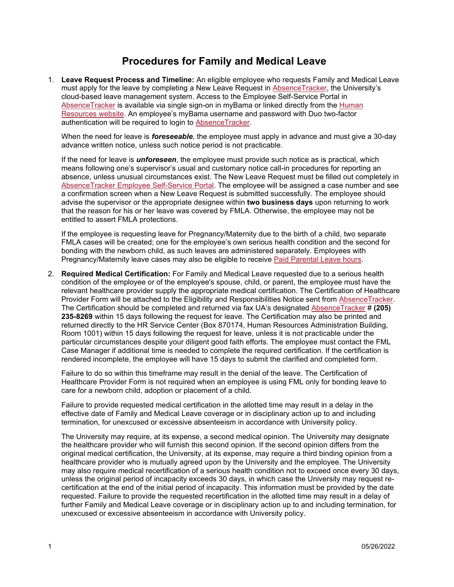## **Procedures for Family and Medical Leave**

1. **Leave Request Process and Timeline:** An eligible employee who requests Family and Medical Leave must apply for the leave by completing a New Leave Request in [AbsenceTracker,](https://ua.ess-absencetracker.com/sso/assertioninitiate) the University's cloud-based leave management system. Access to the Employee Self-Service Portal in [AbsenceTracker](https://ua.ess-absencetracker.com/sso/assertioninitiate) is available via single sign-on in myBama or linked directly from the [Human](https://hr.ua.edu/employee-resources/family-medical-leave-act)  [Resources website.](https://hr.ua.edu/employee-resources/family-medical-leave-act) An employee's myBama username and password with Duo two-factor authentication will be required to login to [AbsenceTracker.](https://ua.ess-absencetracker.com/sso/assertioninitiate)

When the need for leave is *foreseeable*, the employee must apply in advance and must give a 30-day advance written notice, unless such notice period is not practicable.

If the need for leave is *unforeseen*, the employee must provide such notice as is practical, which means following one's supervisor's usual and customary notice call-in procedures for reporting an absence, unless unusual circumstances exist. The New Leave Request must be filled out completely in AbsenceTracker [Employee Self-Service Portal.](https://ua.ess-absencetracker.com/sso/assertioninitiate) The employee will be assigned a case number and see a confirmation screen when a New Leave Request is submitted successfully. The employee should advise the supervisor or the appropriate designee within **two business days** upon returning to work that the reason for his or her leave was covered by FMLA. Otherwise, the employee may not be entitled to assert FMLA protections.

If the employee is requesting leave for Pregnancy/Maternity due to the birth of a child, two separate FMLA cases will be created; one for the employee's own serious health condition and the second for bonding with the newborn child, as such leaves are administered separately. Employees with Pregnancy/Maternity leave cases may also be eligible to receive [Paid Parental Leave hours.](https://hr.ua.edu/employee-resources/paid-parental-leave)

2. **Required Medical Certification:** For Family and Medical Leave requested due to a serious health condition of the employee or of the employee's spouse, child, or parent, the employee must have the relevant healthcare provider supply the appropriate medical certification. The Certification of Healthcare Provider Form will be attached to the Eligibility and Responsibilities Notice sent from [AbsenceTracker.](https://ua.ess-absencetracker.com/sso/assertioninitiate) The Certification should be completed and returned via fax UA's designated [AbsenceTracker](https://ua.ess-absencetracker.com/sso/assertioninitiate) # **(205) 235-8269** within 15 days following the request for leave. The Certification may also be printed and returned directly to the HR Service Center (Box 870174, Human Resources Administration Building, Room 1001) within 15 days following the request for leave, unless it is not practicable under the particular circumstances despite your diligent good faith efforts. The employee must contact the FML Case Manager if additional time is needed to complete the required certification. If the certification is rendered incomplete, the employee will have 15 days to submit the clarified and completed form.

Failure to do so within this timeframe may result in the denial of the leave. The Certification of Healthcare Provider Form is not required when an employee is using FML only for bonding leave to care for a newborn child, adoption or placement of a child.

Failure to provide requested medical certification in the allotted time may result in a delay in the effective date of Family and Medical Leave coverage or in disciplinary action up to and including termination, for unexcused or excessive absenteeism in accordance with University policy.

The University may require, at its expense, a second medical opinion. The University may designate the healthcare provider who will furnish this second opinion. If the second opinion differs from the original medical certification, the University, at its expense, may require a third binding opinion from a healthcare provider who is mutually agreed upon by the University and the employee. The University may also require medical recertification of a serious health condition not to exceed once every 30 days, unless the original period of incapacity exceeds 30 days, in which case the University may request recertification at the end of the initial period of incapacity. This information must be provided by the date requested. Failure to provide the requested recertification in the allotted time may result in a delay of further Family and Medical Leave coverage or in disciplinary action up to and including termination, for unexcused or excessive absenteeism in accordance with University policy.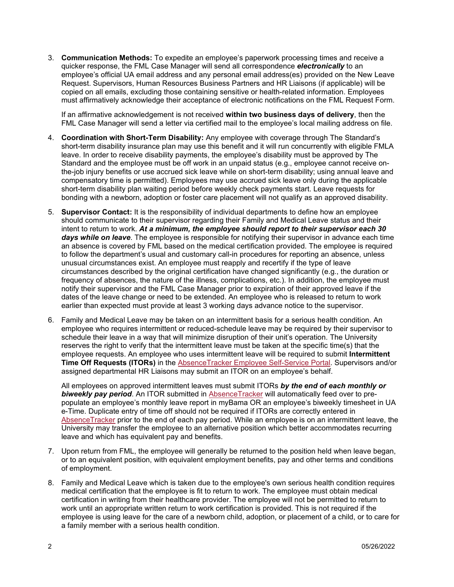3. **Communication Methods:** To expedite an employee's paperwork processing times and receive a quicker response, the FML Case Manager will send all correspondence *electronically* to an employee's official UA email address and any personal email address(es) provided on the New Leave Request. Supervisors, Human Resources Business Partners and HR Liaisons (if applicable) will be copied on all emails, excluding those containing sensitive or health-related information. Employees must affirmatively acknowledge their acceptance of electronic notifications on the FML Request Form.

If an affirmative acknowledgement is not received **within two business days of delivery**, then the FML Case Manager will send a letter via certified mail to the employee's local mailing address on file.

- 4. **Coordination with Short-Term Disability:** Any employee with coverage through The Standard's short-term disability insurance plan may use this benefit and it will run concurrently with eligible FMLA leave. In order to receive disability payments, the employee's disability must be approved by The Standard and the employee must be off work in an unpaid status (e.g., employee cannot receive onthe-job injury benefits or use accrued sick leave while on short-term disability; using annual leave and compensatory time is permitted). Employees may use accrued sick leave only during the applicable short-term disability plan waiting period before weekly check payments start. Leave requests for bonding with a newborn, adoption or foster care placement will not qualify as an approved disability.
- 5. **Supervisor Contact:** It is the responsibility of individual departments to define how an employee should communicate to their supervisor regarding their Family and Medical Leave status and their intent to return to work. *At a minimum, the employee should report to their supervisor each 30 days while on leave*. The employee is responsible for notifying their supervisor in advance each time an absence is covered by FML based on the medical certification provided. The employee is required to follow the department's usual and customary call-in procedures for reporting an absence, unless unusual circumstances exist. An employee must reapply and recertify if the type of leave circumstances described by the original certification have changed significantly (e.g., the duration or frequency of absences, the nature of the illness, complications, etc.). In addition, the employee must notify their supervisor and the FML Case Manager prior to expiration of their approved leave if the dates of the leave change or need to be extended. An employee who is released to return to work earlier than expected must provide at least 3 working days advance notice to the supervisor.
- 6. Family and Medical Leave may be taken on an intermittent basis for a serious health condition. An employee who requires intermittent or reduced-schedule leave may be required by their supervisor to schedule their leave in a way that will minimize disruption of their unit's operation. The University reserves the right to verify that the intermittent leave must be taken at the specific time(s) that the employee requests. An employee who uses intermittent leave will be required to submit **Intermittent Time Off Requests (ITORs)** in the [AbsenceTracker Employee Self-Service Portal.](https://ua.ess-absencetracker.com/sso/assertioninitiate) Supervisors and/or assigned departmental HR Liaisons may submit an ITOR on an employee's behalf.

All employees on approved intermittent leaves must submit ITORs *by the end of each monthly or biweekly pay period*. An ITOR submitted in [AbsenceTracker](https://ua.ess-absencetracker.com/sso/assertioninitiate) will automatically feed over to prepopulate an employee's monthly leave report in myBama OR an employee's biweekly timesheet in UA e-Time. Duplicate entry of time off should not be required if ITORs are correctly entered in [AbsenceTracker](https://ua.ess-absencetracker.com/sso/assertioninitiate) prior to the end of each pay period. While an employee is on an intermittent leave, the University may transfer the employee to an alternative position which better accommodates recurring leave and which has equivalent pay and benefits.

- 7. Upon return from FML, the employee will generally be returned to the position held when leave began, or to an equivalent position, with equivalent employment benefits, pay and other terms and conditions of employment.
- 8. Family and Medical Leave which is taken due to the employee's own serious health condition requires medical certification that the employee is fit to return to work. The employee must obtain medical certification in writing from their healthcare provider. The employee will not be permitted to return to work until an appropriate written return to work certification is provided. This is not required if the employee is using leave for the care of a newborn child, adoption, or placement of a child, or to care for a family member with a serious health condition.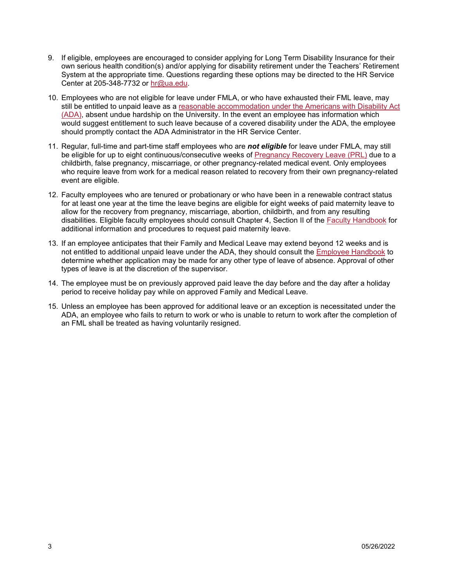- 9. If eligible, employees are encouraged to consider applying for Long Term Disability Insurance for their own serious health condition(s) and/or applying for disability retirement under the Teachers' Retirement System at the appropriate time. Questions regarding these options may be directed to the HR Service Center at 205-348-7732 or [hr@ua.edu.](mailto:hr@ua.edu)
- 10. Employees who are not eligible for leave under FMLA, or who have exhausted their FML leave, may still be entitled to unpaid leave as a reasonable accommodation under the Americans with Disability Act [\(ADA\),](https://hr.ua.edu/employee-resources/reasonable-accomodation/americans-with-disability-act) absent undue hardship on the University. In the event an employee has information which would suggest entitlement to such leave because of a covered disability under the ADA, the employee should promptly contact the ADA Administrator in the HR Service Center.
- 11. Regular, full-time and part-time staff employees who are *not eligible* for leave under FMLA, may still be eligible for up to eight continuous/consecutive weeks of [Pregnancy Recovery Leave \(PRL\)](https://secure2.compliancebridge.com/uat/public/getdocUA.php?file=91) due to a childbirth, false pregnancy, miscarriage, or other pregnancy-related medical event. Only employees who require leave from work for a medical reason related to recovery from their own pregnancy-related event are eligible.
- 12. Faculty employees who are tenured or probationary or who have been in a renewable contract status for at least one year at the time the leave begins are eligible for eight weeks of paid maternity leave to allow for the recovery from pregnancy, miscarriage, abortion, childbirth, and from any resulting disabilities. Eligible faculty employees should consult Chapter 4, Section II of the [Faculty Handbook](https://facultyhandbook.ua.edu/) for additional information and procedures to request paid maternity leave.
- 13. If an employee anticipates that their Family and Medical Leave may extend beyond 12 weeks and is not entitled to additional unpaid leave under the ADA, they should consult the [Employee](https://secure2.compliancebridge.com/uat/public/getdocUA.php?file=42) Handbook to determine whether application may be made for any other type of leave of absence. Approval of other types of leave is at the discretion of the supervisor.
- 14. The employee must be on previously approved paid leave the day before and the day after a holiday period to receive holiday pay while on approved Family and Medical Leave.
- 15. Unless an employee has been approved for additional leave or an exception is necessitated under the ADA, an employee who fails to return to work or who is unable to return to work after the completion of an FML shall be treated as having voluntarily resigned.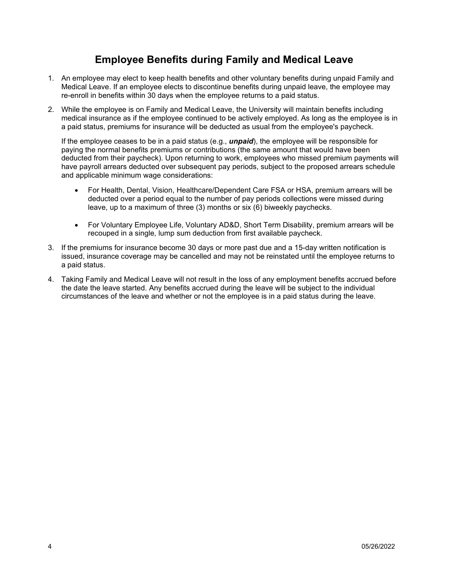## **Employee Benefits during Family and Medical Leave**

- 1. An employee may elect to keep health benefits and other voluntary benefits during unpaid Family and Medical Leave. If an employee elects to discontinue benefits during unpaid leave, the employee may re-enroll in benefits within 30 days when the employee returns to a paid status.
- 2. While the employee is on Family and Medical Leave, the University will maintain benefits including medical insurance as if the employee continued to be actively employed. As long as the employee is in a paid status, premiums for insurance will be deducted as usual from the employee's paycheck.

If the employee ceases to be in a paid status (e.g., *unpaid*), the employee will be responsible for paying the normal benefits premiums or contributions (the same amount that would have been deducted from their paycheck). Upon returning to work, employees who missed premium payments will have payroll arrears deducted over subsequent pay periods, subject to the proposed arrears schedule and applicable minimum wage considerations:

- For Health, Dental, Vision, Healthcare/Dependent Care FSA or HSA, premium arrears will be deducted over a period equal to the number of pay periods collections were missed during leave, up to a maximum of three (3) months or six (6) biweekly paychecks.
- For Voluntary Employee Life, Voluntary AD&D, Short Term Disability, premium arrears will be recouped in a single, lump sum deduction from first available paycheck.
- 3. If the premiums for insurance become 30 days or more past due and a 15-day written notification is issued, insurance coverage may be cancelled and may not be reinstated until the employee returns to a paid status.
- 4. Taking Family and Medical Leave will not result in the loss of any employment benefits accrued before the date the leave started. Any benefits accrued during the leave will be subject to the individual circumstances of the leave and whether or not the employee is in a paid status during the leave.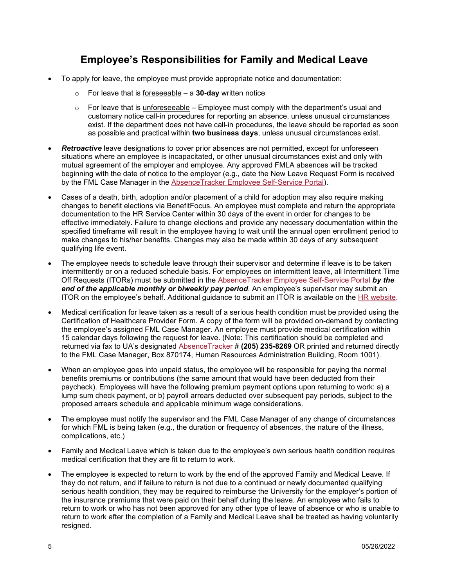## **Employee's Responsibilities for Family and Medical Leave**

- To apply for leave, the employee must provide appropriate notice and documentation:
	- o For leave that is foreseeable a **30-day** written notice
	- $\circ$  For leave that is unforeseeable Employee must comply with the department's usual and customary notice call-in procedures for reporting an absence, unless unusual circumstances exist. If the department does not have call-in procedures, the leave should be reported as soon as possible and practical within **two business days**, unless unusual circumstances exist.
- *Retroactive* leave designations to cover prior absences are not permitted, except for unforeseen situations where an employee is incapacitated, or other unusual circumstances exist and only with mutual agreement of the employer and employee. Any approved FMLA absences will be tracked beginning with the date of notice to the employer (e.g., date the New Leave Request Form is received by the FML Case Manager in the [AbsenceTracker Employee Self-Service Portal\)](https://ua.ess-absencetracker.com/sso/assertioninitiate).
- Cases of a death, birth, adoption and/or placement of a child for adoption may also require making changes to benefit elections via BenefitFocus. An employee must complete and return the appropriate documentation to the HR Service Center within 30 days of the event in order for changes to be effective immediately. Failure to change elections and provide any necessary documentation within the specified timeframe will result in the employee having to wait until the annual open enrollment period to make changes to his/her benefits. Changes may also be made within 30 days of any subsequent qualifying life event.
- The employee needs to schedule leave through their supervisor and determine if leave is to be taken intermittently or on a reduced schedule basis. For employees on intermittent leave, all Intermittent Time Off Requests (ITORs) must be submitted in the [AbsenceTracker Employee Self-Service Portal](https://ua.ess-absencetracker.com/sso/assertioninitiate) *by the end of the applicable monthly or biweekly pay period*. An employee's supervisor may submit an ITOR on the employee's behalf. Additional guidance to submit an ITOR is available on the [HR website.](https://hr.ua.edu/employee-resources/family-medical-leave-act)
- Medical certification for leave taken as a result of a serious health condition must be provided using the Certification of Healthcare Provider Form. A copy of the form will be provided on-demand by contacting the employee's assigned FML Case Manager. An employee must provide medical certification within 15 calendar days following the request for leave. (Note: This certification should be completed and returned via fax to UA's designated [AbsenceTracker](https://ua.ess-absencetracker.com/sso/assertioninitiate) # **(205) 235-8269** OR printed and returned directly to the FML Case Manager, Box 870174, Human Resources Administration Building, Room 1001).
- When an employee goes into unpaid status, the employee will be responsible for paying the normal benefits premiums or contributions (the same amount that would have been deducted from their paycheck). Employees will have the following premium payment options upon returning to work: a) a lump sum check payment, or b) payroll arrears deducted over subsequent pay periods, subject to the proposed arrears schedule and applicable minimum wage considerations.
- The employee must notify the supervisor and the FML Case Manager of any change of circumstances for which FML is being taken (e.g., the duration or frequency of absences, the nature of the illness, complications, etc.)
- Family and Medical Leave which is taken due to the employee's own serious health condition requires medical certification that they are fit to return to work.
- The employee is expected to return to work by the end of the approved Family and Medical Leave. If they do not return, and if failure to return is not due to a continued or newly documented qualifying serious health condition, they may be required to reimburse the University for the employer's portion of the insurance premiums that were paid on their behalf during the leave. An employee who fails to return to work or who has not been approved for any other type of leave of absence or who is unable to return to work after the completion of a Family and Medical Leave shall be treated as having voluntarily resigned.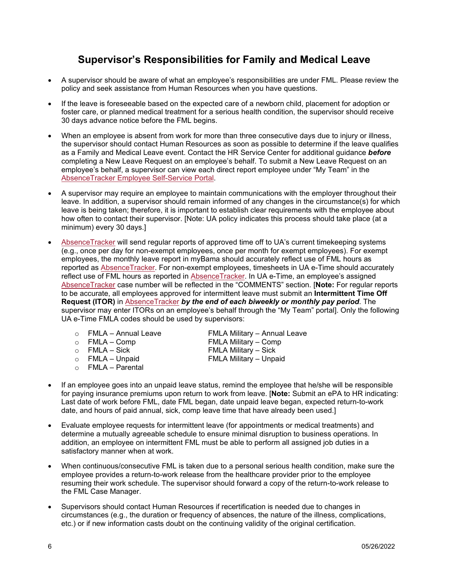## **Supervisor's Responsibilities for Family and Medical Leave**

- A supervisor should be aware of what an employee's responsibilities are under FML. Please review the policy and seek assistance from Human Resources when you have questions.
- If the leave is foreseeable based on the expected care of a newborn child, placement for adoption or foster care, or planned medical treatment for a serious health condition, the supervisor should receive 30 days advance notice before the FML begins.
- When an employee is absent from work for more than three consecutive days due to injury or illness, the supervisor should contact Human Resources as soon as possible to determine if the leave qualifies as a Family and Medical Leave event. Contact the HR Service Center for additional guidance *before* completing a New Leave Request on an employee's behalf. To submit a New Leave Request on an employee's behalf, a supervisor can view each direct report employee under "My Team" in the [AbsenceTracker Employee Self-Service Portal.](https://ua.ess-absencetracker.com/sso/assertioninitiate)
- A supervisor may require an employee to maintain communications with the employer throughout their leave. In addition, a supervisor should remain informed of any changes in the circumstance(s) for which leave is being taken; therefore, it is important to establish clear requirements with the employee about how often to contact their supervisor. [Note: UA policy indicates this process should take place (at a minimum) every 30 days.]
- [AbsenceTracker](https://ua.ess-absencetracker.com/sso/assertioninitiate) will send regular reports of approved time off to UA's current timekeeping systems (e.g., once per day for non-exempt employees, once per month for exempt employees). For exempt employees, the monthly leave report in myBama should accurately reflect use of FML hours as reported as [AbsenceTracker.](https://ua.ess-absencetracker.com/sso/assertioninitiate) For non-exempt employees, timesheets in UA e-Time should accurately reflect use of FML hours as reported in [AbsenceTracker.](https://ua.ess-absencetracker.com/sso/assertioninitiate) In UA e-Time, an employee's assigned [AbsenceTracker](https://ua.ess-absencetracker.com/sso/assertioninitiate) case number will be reflected in the "COMMENTS" section. [**Note:** For regular reports to be accurate, all employees approved for intermittent leave must submit an **Intermittent Time Off Request (ITOR)** in [AbsenceTracker](https://ua.ess-absencetracker.com/sso/assertioninitiate) *by the end of each biweekly or monthly pay period*. The supervisor may enter ITORs on an employee's behalf through the "My Team" portal]. Only the following UA e-Time FMLA codes should be used by supervisors:
	-
	-
	-
	-
	- o FMLA Parental
	- o FMLA Annual Leave FMLA Military Annual Leave<br>
	⊙ FMLA Comp FMLA Military Comp o FMLA – Comp FMLA Military – Comp o FMLA – Sick FMLA Military – Sick FMLA Military – Unpaid
- If an employee goes into an unpaid leave status, remind the employee that he/she will be responsible for paying insurance premiums upon return to work from leave. [**Note:** Submit an ePA to HR indicating: Last date of work before FML, date FML began, date unpaid leave began, expected return-to-work date, and hours of paid annual, sick, comp leave time that have already been used.]
- Evaluate employee requests for intermittent leave (for appointments or medical treatments) and determine a mutually agreeable schedule to ensure minimal disruption to business operations. In addition, an employee on intermittent FML must be able to perform all assigned job duties in a satisfactory manner when at work.
- When continuous/consecutive FML is taken due to a personal serious health condition, make sure the employee provides a return-to-work release from the healthcare provider prior to the employee resuming their work schedule. The supervisor should forward a copy of the return-to-work release to the FML Case Manager.
- Supervisors should contact Human Resources if recertification is needed due to changes in circumstances (e.g., the duration or frequency of absences, the nature of the illness, complications, etc.) or if new information casts doubt on the continuing validity of the original certification.